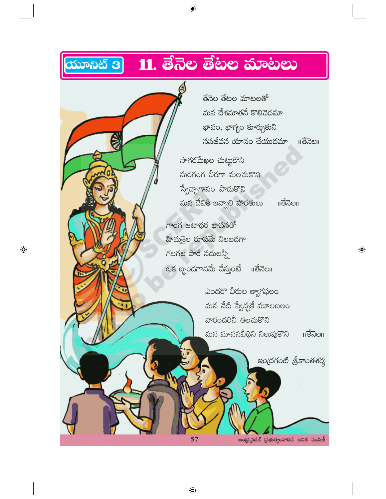# **ಯೂನಿಟ್ 3 11. ತೆನೆಲ ತೆಟಲ ಮಾಟಲು**

 $\bigoplus$ 

తేనెల తేటల మాటలతో మన దేశమాతనే కొలిచెదమా భావం, భాగ్యం కూర్చుకుని నవజీవన యానం చేయుదమా ॥తేనెల॥ సాగరమేఖల చుట్టుకొని సురగంగ చీరగా మలచుకొని స్వేచ్చాగానం పాడుకొని మన దేవికి ఇవ్వాలి హారతులు ౹౹తేనెల౹౹ గాంగ జటాధర భావనతో హిమశైల రూపమే నిలబడగా గలగల పారే నదులన్నీ ఒక బృందగానమే చేస్తుంటే ॥తేనెల॥ ఎందరొ వీరుల త్యాగఫలం మన నేటి స్వేచ్ఛకే మూలబలం వారందరినీ తలచుకొని మన మానసవీథిని నిలుపుకొని ఇంద్రగంటి శ్రీకాంతశర్మ

 $\bigoplus$ 

57

ఆంధ్రప్రదేశ్ (పభుత్వంవారిచే ఉచిత పంపిణీ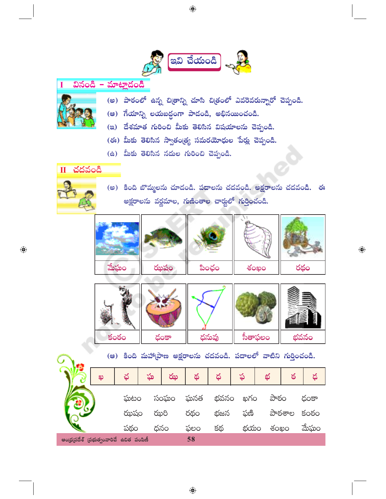

#### వినండి – మాట్లాదండి T



- (అ) పాఠంలో ఉన్న చిత్రాన్ని చూసి చిత్రంలో ఎవరెవరున్నారో చెప్పండి.
- (ఆ) ಗేయాన్ని లయబద్ధంగా పాడండి, అభినయించండి.
- (ఇ) దేశమాత గురించి మీకు తెలిసిన విషయాలను చెప్పండి.
- (ఈ) మీకు తెలిసిన స్వాతం(త్య సమరయోధుల పేర్లు చెప్పండి.
- (ఉ) మీకు తెలిసిన నదుల గురించి చెప్పండి.

 $\overline{\mathbf{H}}$  చదవండి



 $\bigoplus$ 

(అ) కింది బొమ్మలను చూదండి. పదాలను చదవండి. అక్షరాలను చదవండి. ఈ అక్షరాలను వర్ణమాల, గుణింతాల చార్హులో గుర్తించండి.





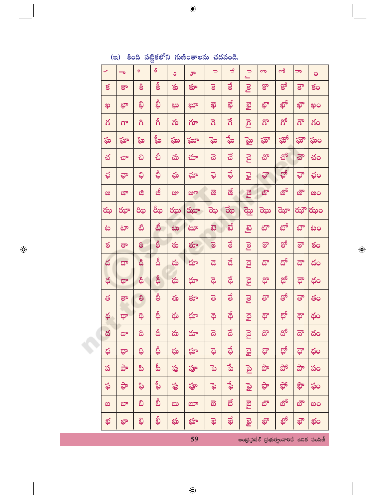|              |                                               |    | ఴ    |      |      |                         |                      |                       |                         |                             |      |                |
|--------------|-----------------------------------------------|----|------|------|------|-------------------------|----------------------|-----------------------|-------------------------|-----------------------------|------|----------------|
| $\checkmark$ | ಕ                                             | Q, | S    | C    | ూ    | $\Rightarrow$           | $\blacktriangleleft$ | $\Rightarrow$<br>ے    | $\overline{\mathbf{c}}$ | ౼ౘ                          | ᇹ    | $\overline{Q}$ |
| $\leq$       | కా                                            | కి | Ŝ    | కు   | క్తూ | $\overline{\mathbf{s}}$ | $\vec{s}$            | <u>g</u>              | క్షా                    | $S^{\delta}$                | క్రా | కం             |
| ఖ            | ఖా                                            | ಫಿ | ఫ్టీ | ೠ    | ಖ್   | ಫ                       | தி                   | <b>Reg</b>            | ఖ్                      | தி                          | ఖౌ   | ဆုဝ            |
| గ            | $\overline{\Omega}$                           | ಗಿ | ຄໍ   | గు   | గూ   | $\overline{\Omega}$     | ನೆ                   | <u>ក្ត</u>            | గొ                      | ಗ್                          | గౌ   | గం             |
| ఘ            | ఘా                                            | ಹಿ | ష్ఠీ | ఘు   | ఘూ   | ಘ                       | ್ಕೆು                 | ్తై                   | ఘ్లా                    | ఘ్గో                        | ఘ్గౌ | ఘం             |
| చ            | ವ್                                            | చి | చీ   | చు   | చూ   | ವ                       | ವೆ                   | ඩි                    | చొ                      | చో                          | హె   | చం             |
| ఛ            | ಫ್                                            | ಭಿ | ఫ్గీ | ఘ    | ఛూ   | ಫ                       | ಫೆ                   | <b>EE</b>             | ఛొ                      | ఛో                          | ಘೌ   | ఛం             |
| ಜ            | ಜೌ                                            | ಜಿ | జీ   | జ్ఞు | జ్రూ | ౙ                       | జే                   | <b>R</b> al           | జ్లో                    | జో                          | జ్రౌ | ಜಂ             |
| ఝ            | ఝా                                            | ಝ  | రీఖ  | ఝు   | ఝూ   | ಝ                       | ఝే                   | ಡ್ಜು                  | ಝ                       | ಝೌ                          | ఝౌ   | ఝం             |
| ಟ            | టా                                            | టి | తీ   | مخ   | ಟಾ   | සි                      | ಪ                    | <u>ය</u>              | టొ                      | టో                          | టౌ   | టం             |
| ఠ            | ಠಾ                                            | 8  | စ်   | ఠు   | రూ   | $\overline{6}$          | ತ                    | <b>Pol</b>            | ఠా                      | థో                          | ತ್   | ఠం             |
| డ            | ಡ್                                            | డి | డీ   | డు   | దూ   | ಡ                       | ಡೆ                   | <b>ES</b>             | డొ                      | $\mathfrak{S}^{\mathsf{s}}$ | ಡೌ   | దం             |
| ధ            | ಥಾ                                            | ధి | ప్లీ | ధు   | ధూ   | ಧ                       | ಧೆ                   | යූ                    | ధ్రా                    | ಥೆ                          | ಥೌ   | ధం             |
| త            | తా                                            | ತಿ | ప్రీ | తు   | తూ   | ತ                       | తే                   | <b>P</b><br>Col       | తొ                      | తో                          | ತೌ   | తం             |
| థ            | థా                                            | ಥಿ | థీ   | థు   | థూ   | ಥ                       | థే                   | යු                    | థో                      | සු                          | ಥೌ   | థం             |
| ద            | ಥಾ                                            | ದಿ | దీ   | దు   | దూ   | ಡ                       | ಡೆ                   | <u>ន</u>              | దొ                      | దో                          | డా   | దం             |
| ధ            | ಥ                                             | ඛ් | థీ   | ధు   | ధూ   | ಧ                       | ಧೆ                   | යූ                    | ధొ                      | ಥ್                          | ಥ್   | ధం             |
| ప            | ಕ್                                            | ಪಿ | ప్రీ | ప్ర  | హ్ర  | ್ತ                      | ್ನೆ                  | <b>P</b> <sub>2</sub> | పొ                      | ಭೌ                          | పౌ   | పం             |
| ఫ            | ಘಿ                                            | ఫి | ఫ్గీ | ఫ    | ఫ్   | ್ಧಾ                     | ఛే                   | <b>Pg9</b>            | ಘಿ                      | ಘ                           | ಘ    | ఫం             |
| ಐ            | భా                                            | ವಿ | వీ   | ಖು   | ಬ್   | ಪ                       | ಪೆ                   | ၉၅                    | బొ                      | బో                          | ಭೌ   | ဆဝ             |
| భ            | భా                                            | ಫಿ | ఫ్గీ | భు   | భూ   | ಥ                       | ಫೆ                   | වූ                    | భో                      | భో                          | ಫೌ   | భం             |
|              | 59<br>ఆంధ్రప్రదేశ్ (పభుత్వంవారిచే ఉచిత పంపిణీ |    |      |      |      |                         |                      |                       |                         |                             |      |                |

 $\bigoplus$ 

#### (ఇ) కింది పట్టికలోని గుణింతాలను చదవండి.

 $\bigoplus$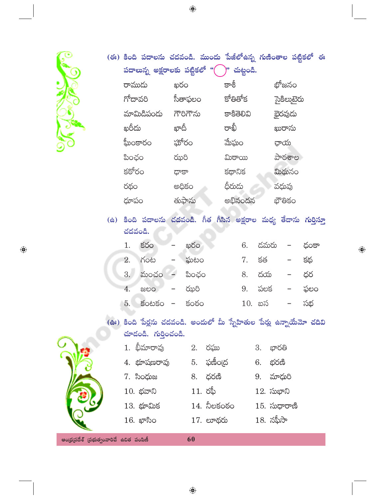$\bigoplus$ 

|                                         |  |         | (ఈ) కింది పదాలను చదవండి. ముందు పేజీలోఉన్న గుణింతాల పట్టికలో ఈ                                |       |                                |  |            |          |      |              |            |      |  |
|-----------------------------------------|--|---------|----------------------------------------------------------------------------------------------|-------|--------------------------------|--|------------|----------|------|--------------|------------|------|--|
|                                         |  |         | పదాలున్న అక్షరాలకు పట్టికలో "( ్)" చుట్టండి.                                                 |       |                                |  |            |          |      |              |            |      |  |
|                                         |  | రాముడు  |                                                                                              | ఖరం   |                                |  | కాశీ       |          |      |              | భోజనం      |      |  |
|                                         |  | గోదావరి |                                                                                              |       | సీతాఫలం                        |  | కోతితోక    |          |      |              | సైకిలుటైరు |      |  |
|                                         |  |         | మామిడిపండు గౌరిగౌను                                                                          |       |                                |  | కాకితెలివి |          |      |              | భైరవుడు    |      |  |
|                                         |  | ఖరీదు   |                                                                                              |       | ఖాదీ                           |  | రాఖీ       |          |      |              | ఖురాను     |      |  |
|                                         |  |         | ఘీంకారం                                                                                      |       | ఘోరం                           |  | మేఘం       |          |      | ఛాయ          |            |      |  |
|                                         |  | పింఛం   |                                                                                              | ఝరి   |                                |  | ಮಿಠಾಯ      |          |      |              | పాఠశాల     |      |  |
|                                         |  | కఠోరం   |                                                                                              | ాకాధా |                                |  | కథానిక     |          |      |              | మిథునం     |      |  |
|                                         |  | రథం     |                                                                                              |       | అధికం                          |  | ధీరుదు     |          |      | వధువు        |            |      |  |
|                                         |  | ధూపం    |                                                                                              |       | తుఫాను                         |  |            | అభినందన  |      |              | భౌతికం     |      |  |
|                                         |  | చదవండి. | (ఉ) కింది పదాలను చదవండి. గీత గీసిన అక్షరాల మధ్య తేదాను <mark>గు</mark> ర్తిస్తూ              |       |                                |  |            |          |      |              |            |      |  |
|                                         |  | 1.      | కరం                                                                                          |       | ఖరం                            |  |            | 6.       | డమరు |              |            | ధంకా |  |
|                                         |  | 2.      | గంట                                                                                          |       | ఘటం                            |  |            | 7.       | కత   |              |            | కథ   |  |
|                                         |  | 3.      | మంచం                                                                                         |       | పింఛం                          |  |            | 8.       |      | దయ           |            | ధర   |  |
|                                         |  | 4.      | ಜಲಂ                                                                                          |       | ఝరి                            |  |            | 9.       |      | పలక          |            | ఫలం  |  |
|                                         |  | 5.      | $50050 -$                                                                                    |       | కంఠం                           |  |            | $10.$ బస |      |              |            | సభ   |  |
|                                         |  |         | (ఊ) కింది పేర్లను చదవండి. అందులో మీ స్నేహితుల పేర్లు ఉన్నాయేమో చదివి<br>చూదండి. గుర్తించండి. |       |                                |  |            |          |      |              |            |      |  |
|                                         |  |         | $1.$ భీమారావు $2.$ రఘు                                                                       |       |                                |  |            |          |      | 3. భారతి     |            |      |  |
|                                         |  |         | 4. భూషణరావు         5.   ఫణీం(ద                                                              |       |                                |  |            |          |      | 6. భరణి      |            |      |  |
|                                         |  |         | 7. సింధుజ           8.  ధరణి                                                                 |       |                                |  |            |          |      | 9. మాధురి    |            |      |  |
|                                         |  |         | $10.$ భవాని $11.$ రఫీ                                                                        |       |                                |  |            |          |      | $12.$ సుభాని |            |      |  |
|                                         |  |         | 13. భూమిక                                                                                    |       | $14$ . నీలకంఠం $15$ . సుధారాణి |  |            |          |      |              |            |      |  |
|                                         |  |         | $16.$ ఖాసిం                                                                                  |       | 17. లూథరు                      |  |            |          |      | $18.$ నఫీసా  |            |      |  |
| ఆంధ్రప్రదేశ్ (పభుత్వంవారిచే ఉచిత పంపిణీ |  |         |                                                                                              |       | 60                             |  |            |          |      |              |            |      |  |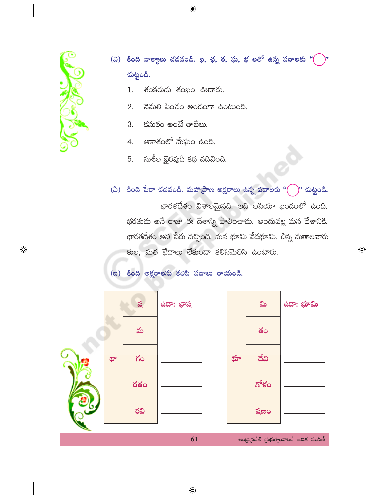

(ఎ) కింది వాక్యాలు చదవండి. ఖ, ఛ, ఠ, ఘ, భ లతో ఉన్న పదాలకు "( చుట్టండి.

- శంకరుదు శంఖం ఊదాదు.  $1.$
- నెమలి పింఛం అందంగా ఉంటుంది. 2.
- $\mathop{\text{Sht}}$  అంటే తాబేలు. 3.
- ఆకాశంలో మేఘం ఉంది.  $4.$
- సుశీల భైరవుడి కథ చదివింది. 5.
- (ఏ) కింది పేరా చదవండి. మహాధాణ అక్షరాలు ఉన్న పదాలకు " $\left( \quad \right)$ " చుట్టండి.

భారతదేశం విశాలమైనది. ఇది ఆసియా ఖండంలో ఉంది. భరతుడు అనే రాజు ఈ దేశాన్ని పాలించాడు. అందువల్ల మన దేశానికి, భారతదేశం అని పేరు వచ్చింది. మన భూమి వేదభూమి. భిన్న మతాలవారు కుల, మత భేదాలు లేకుండా కలిసిమెలిసి ఉంటారు.

 $\bigoplus$ 

(ສ) కింది అక్షరాలను కలిపి పదాలు రాయండి.

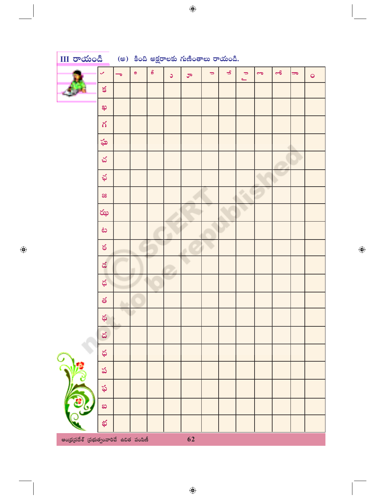| $\overline{\text{III}}$ $\overline{\text{O}}$ $\text{O}$ $\text{O}$ $\text{O}$ $\text{O}$ $\text{O}$ $\text{O}$ $\text{O}$ $\text{O}$ $\text{O}$ $\text{O}$ $\text{O}$ $\text{O}$ $\text{O}$ $\text{O}$ $\text{O}$ $\text{O}$ $\text{O}$ $\text{O}$ $\text{O}$ $\text{O}$ $\text{O}$ $\text{O}$ $\text{O}$ $\text{O}$ $\text{O}$ |                             |                          |   |                     |    |          |               |                         |                                           |           |          |                    |           |
|----------------------------------------------------------------------------------------------------------------------------------------------------------------------------------------------------------------------------------------------------------------------------------------------------------------------------------|-----------------------------|--------------------------|---|---------------------|----|----------|---------------|-------------------------|-------------------------------------------|-----------|----------|--------------------|-----------|
|                                                                                                                                                                                                                                                                                                                                  | $\checkmark$                | $\overline{\phantom{0}}$ | 9 | $\pmb{\mathcal{S}}$ | Ō. | $\sigma$ | $\Rightarrow$ | $\overline{\mathbf{r}}$ | $\Rightarrow$<br>$\overline{\phantom{0}}$ | $\bullet$ | $\sigma$ | $rac{1}{\sqrt{2}}$ | $\bullet$ |
|                                                                                                                                                                                                                                                                                                                                  | $\leq$                      |                          |   |                     |    |          |               |                         |                                           |           |          |                    |           |
|                                                                                                                                                                                                                                                                                                                                  | ఖ                           |                          |   |                     |    |          |               |                         |                                           |           |          |                    |           |
|                                                                                                                                                                                                                                                                                                                                  | $\gamma$                    |                          |   |                     |    |          |               |                         |                                           |           |          |                    |           |
|                                                                                                                                                                                                                                                                                                                                  | ఘ                           |                          |   |                     |    |          |               |                         |                                           |           |          |                    |           |
|                                                                                                                                                                                                                                                                                                                                  | చ                           |                          |   |                     |    |          |               |                         |                                           |           |          |                    |           |
|                                                                                                                                                                                                                                                                                                                                  | ఛ                           |                          |   |                     |    |          |               |                         |                                           |           |          |                    |           |
|                                                                                                                                                                                                                                                                                                                                  | æ                           |                          |   |                     |    |          |               |                         |                                           |           |          |                    |           |
|                                                                                                                                                                                                                                                                                                                                  | ఝ                           |                          |   |                     |    |          |               |                         |                                           |           |          |                    |           |
|                                                                                                                                                                                                                                                                                                                                  | ف                           |                          |   |                     |    |          |               |                         |                                           |           |          |                    |           |
|                                                                                                                                                                                                                                                                                                                                  | $\delta$                    |                          |   |                     |    |          |               |                         |                                           |           |          |                    |           |
|                                                                                                                                                                                                                                                                                                                                  | $\boldsymbol{\mathcal{Z}}$  |                          |   |                     |    |          |               |                         |                                           |           |          |                    |           |
|                                                                                                                                                                                                                                                                                                                                  | $\boldsymbol{\mathfrak{P}}$ |                          |   |                     |    |          |               |                         |                                           |           |          |                    |           |
|                                                                                                                                                                                                                                                                                                                                  | త                           |                          |   |                     |    |          |               |                         |                                           |           |          |                    |           |
|                                                                                                                                                                                                                                                                                                                                  | థ                           |                          |   |                     |    |          |               |                         |                                           |           |          |                    |           |
|                                                                                                                                                                                                                                                                                                                                  | ద                           |                          |   |                     |    |          |               |                         |                                           |           |          |                    |           |
|                                                                                                                                                                                                                                                                                                                                  | ధ                           |                          |   |                     |    |          |               |                         |                                           |           |          |                    |           |
|                                                                                                                                                                                                                                                                                                                                  | ప                           |                          |   |                     |    |          |               |                         |                                           |           |          |                    |           |
|                                                                                                                                                                                                                                                                                                                                  | ఫ                           |                          |   |                     |    |          |               |                         |                                           |           |          |                    |           |
|                                                                                                                                                                                                                                                                                                                                  | $\infty$                    |                          |   |                     |    |          |               |                         |                                           |           |          |                    |           |
|                                                                                                                                                                                                                                                                                                                                  | భ                           |                          |   |                     |    |          |               |                         |                                           |           |          |                    |           |
| ఆంధ్రప్రదేశ్ (పభుత్వంవారిచే ఉచిత పంపిణీ                                                                                                                                                                                                                                                                                          |                             |                          |   |                     |    | 62       |               |                         |                                           |           |          |                    |           |

 $\bigoplus$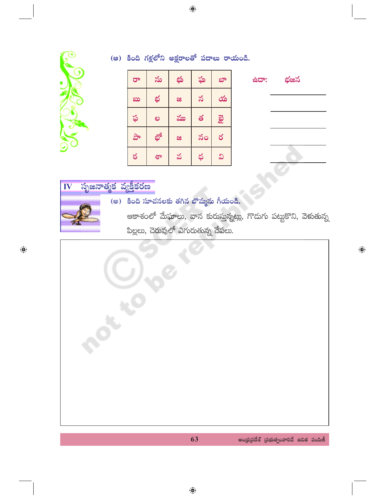

 $\bigoplus$ 

| $\overline{C}$ | ను | భు | ఘ          | భా       |
|----------------|----|----|------------|----------|
| ಖು             | భ  | æ  | $\precsim$ | య        |
| ఫ              | ಲ  | ము | త          | <b>B</b> |
| $\frac{1}{2}$  | భో | æ  | నం         | ర        |
| ఠ              | శా | వ  | ధ          | ವಿ       |

(ఆ) కింది గళ్లలోని అక్షరాలతో పదాలు రాయండి.



 $\bigoplus$ 

సృజనాత్మక వ్యక్తీకరణ IV

(అ) కింది సూచనలకు తగిన బొమ్మను గీయండి.

ఆకాశంలో మేఘాలు, వాన కురుస్తున్నట్లు, గొదుగు పట్టుకొని, వెళుతున్న పిల్లలు, చెరువులో ఎగురుతున్న చేపలు.

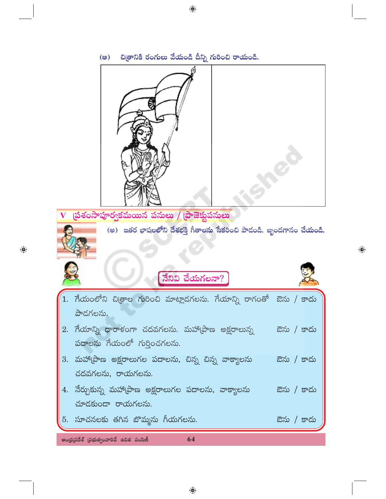

 $\bigoplus$